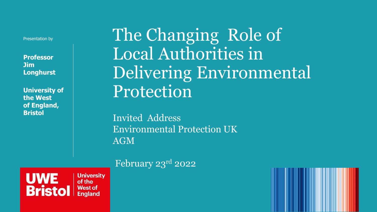Presentation by

**Professor Jim Longhurst**

**University of the West of England, Bristol**

The Changing Role of Local Authorities in Delivering Environmental Protection

Invited Address Environmental Protection UK AGM

February 23rd 2022

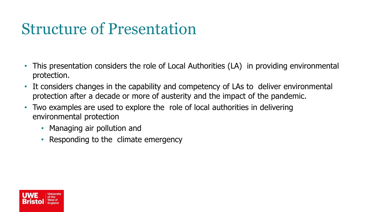## Structure of Presentation

- This presentation considers the role of Local Authorities (LA) in providing environmental protection.
- It considers changes in the capability and competency of LAs to deliver environmental protection after a decade or more of austerity and the impact of the pandemic.
- Two examples are used to explore the role of local authorities in delivering environmental protection
	- Managing air pollution and
	- Responding to the climate emergency

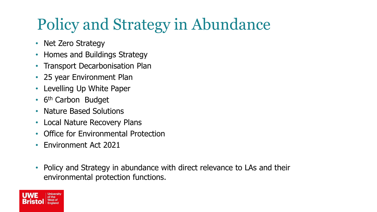## Policy and Strategy in Abundance

- Net Zero Strategy
- Homes and Buildings Strategy
- Transport Decarbonisation Plan
- 25 year Environment Plan
- Levelling Up White Paper
- 6<sup>th</sup> Carbon Budget
- Nature Based Solutions
- Local Nature Recovery Plans
- Office for Environmental Protection
- Environment Act 2021
- Policy and Strategy in abundance with direct relevance to LAs and their environmental protection functions.

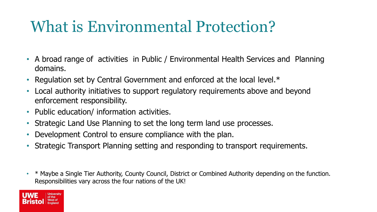### What is Environmental Protection?

- A broad range of activities in Public / Environmental Health Services and Planning domains.
- Regulation set by Central Government and enforced at the local level.\*
- Local authority initiatives to support regulatory requirements above and beyond enforcement responsibility.
- Public education/ information activities.
- Strategic Land Use Planning to set the long term land use processes.
- Development Control to ensure compliance with the plan.
- Strategic Transport Planning setting and responding to transport requirements.
- \* Maybe a Single Tier Authority, County Council, District or Combined Authority depending on the function. Responsibilities vary across the four nations of the UK!

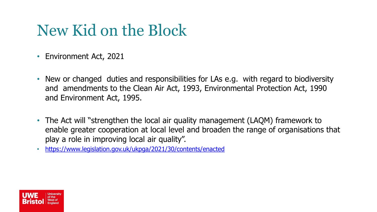#### New Kid on the Block

- Environment Act, 2021
- New or changed duties and responsibilities for LAs e.g. with regard to biodiversity and amendments to the Clean Air Act, 1993, Environmental Protection Act, 1990 and Environment Act, 1995.
- The Act will "strengthen the local air quality management (LAQM) framework to enable greater cooperation at local level and broaden the range of organisations that play a role in improving local air quality".
- <https://www.legislation.gov.uk/ukpga/2021/30/contents/enacted>

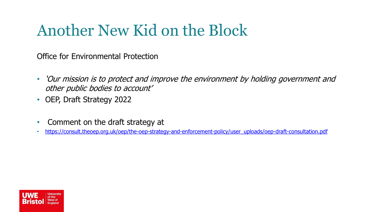## Another New Kid on the Block

Office for Environmental Protection

- 'Our mission is to protect and improve the environment by holding government and other public bodies to account'
- OEP, Draft Strategy 2022
- Comment on the draft strategy at
- [https://consult.theoep.org.uk/oep/the-oep-strategy-and-enforcement-policy/user\\_uploads/oep-draft-consultation.pdf](https://consult.theoep.org.uk/oep/the-oep-strategy-and-enforcement-policy/user_uploads/oep-draft-consultation.pdf)

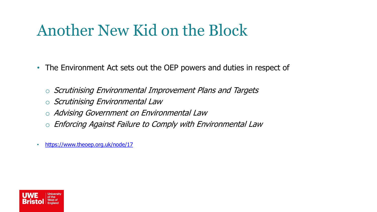#### Another New Kid on the Block

- The Environment Act sets out the OEP powers and duties in respect of
	- o Scrutinising Environmental Improvement Plans and Targets
	- o Scrutinising Environmental Law
	- o Advising Government on Environmental Law
	- o Enforcing Against Failure to Comply with Environmental Law
- <https://www.theoep.org.uk/node/17>

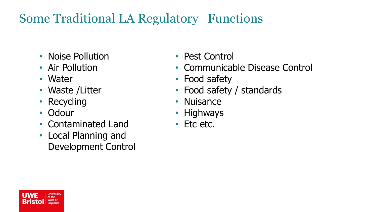#### Some Traditional LA Regulatory Functions

- Noise Pollution
- Air Pollution
- Water
- Waste / Litter
- Recycling
- Odour
- Contaminated Land
- Local Planning and Development Control
- Pest Control
- Communicable Disease Control
- Food safety
- Food safety / standards
- Nuisance
- Highways
- Etc etc.

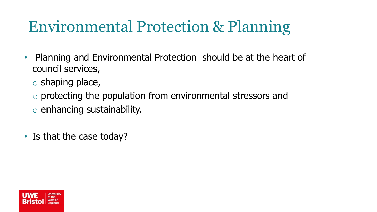## Environmental Protection & Planning

- Planning and Environmental Protection should be at the heart of council services,
	- o shaping place,
	- o protecting the population from environmental stressors and
	- o enhancing sustainability.
- Is that the case today?

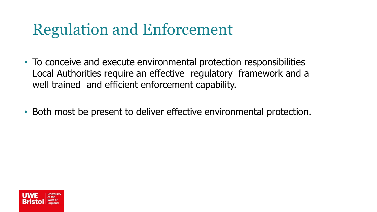## Regulation and Enforcement

- To conceive and execute environmental protection responsibilities Local Authorities require an effective regulatory framework and a well trained and efficient enforcement capability.
- Both most be present to deliver effective environmental protection.

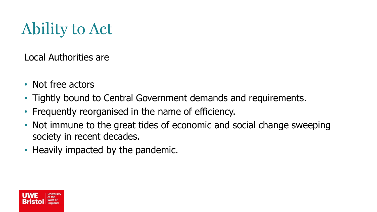# Ability to Act

Local Authorities are

- Not free actors
- Tightly bound to Central Government demands and requirements.
- Frequently reorganised in the name of efficiency.
- Not immune to the great tides of economic and social change sweeping society in recent decades.
- Heavily impacted by the pandemic.

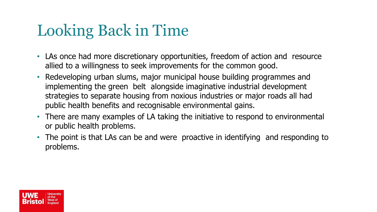## Looking Back in Time

- LAs once had more discretionary opportunities, freedom of action and resource allied to a willingness to seek improvements for the common good.
- Redeveloping urban slums, major municipal house building programmes and implementing the green belt alongside imaginative industrial development strategies to separate housing from noxious industries or major roads all had public health benefits and recognisable environmental gains.
- There are many examples of LA taking the initiative to respond to environmental or public health problems.
- The point is that LAs can be and were proactive in identifying and responding to problems.

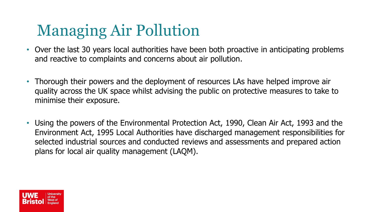## Managing Air Pollution

- Over the last 30 years local authorities have been both proactive in anticipating problems and reactive to complaints and concerns about air pollution.
- Thorough their powers and the deployment of resources LAs have helped improve air quality across the UK space whilst advising the public on protective measures to take to minimise their exposure.
- Using the powers of the Environmental Protection Act, 1990, Clean Air Act, 1993 and the Environment Act, 1995 Local Authorities have discharged management responsibilities for selected industrial sources and conducted reviews and assessments and prepared action plans for local air quality management (LAQM).

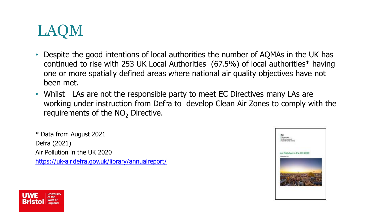

- Despite the good intentions of local authorities the number of AQMAs in the UK has continued to rise with 253 UK Local Authorities (67.5%) of local authorities\* having one or more spatially defined areas where national air quality objectives have not been met.
- Whilst LAs are not the responsible party to meet EC Directives many LAs are working under instruction from Defra to develop Clean Air Zones to comply with the requirements of the  $NO<sub>2</sub>$  Directive.

\* Data from August 2021 Defra (2021) Air Pollution in the UK 2020 <https://uk-air.defra.gov.uk/library/annualreport/>



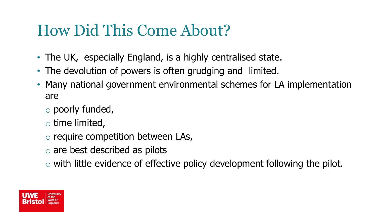#### How Did This Come About?

- The UK, especially England, is a highly centralised state.
- The devolution of powers is often grudging and limited.
- Many national government environmental schemes for LA implementation are
	- o poorly funded,
	- $\circ$  time limited,
	- o require competition between LAs,
	- o are best described as pilots
	- o with little evidence of effective policy development following the pilot.

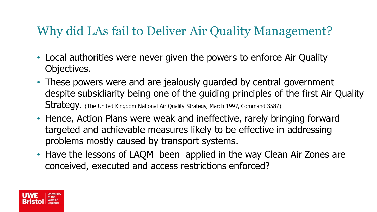#### Why did LAs fail to Deliver Air Quality Management?

- Local authorities were never given the powers to enforce Air Quality Objectives.
- These powers were and are jealously guarded by central government despite subsidiarity being one of the guiding principles of the first Air Quality Strategy. (The United Kingdom National Air Quality Strategy, March 1997, Command 3587)
- Hence, Action Plans were weak and ineffective, rarely bringing forward targeted and achievable measures likely to be effective in addressing problems mostly caused by transport systems.
- Have the lessons of LAQM been applied in the way Clean Air Zones are conceived, executed and access restrictions enforced?

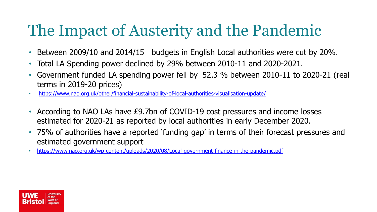## The Impact of Austerity and the Pandemic

- Between 2009/10 and 2014/15 budgets in English Local authorities were cut by 20%.
- Total LA Spending power declined by 29% between 2010-11 and 2020-2021.
- Government funded LA spending power fell by 52.3 % between 2010-11 to 2020-21 (real terms in 2019-20 prices)
- <https://www.nao.org.uk/other/financial-sustainability-of-local-authorities-visualisation-update/>
- According to NAO LAs have £9.7bn of COVID-19 cost pressures and income losses estimated for 2020-21 as reported by local authorities in early December 2020.
- 75% of authorities have a reported 'funding gap' in terms of their forecast pressures and estimated government support
- <https://www.nao.org.uk/wp-content/uploads/2020/08/Local-government-finance-in-the-pandemic.pdf>

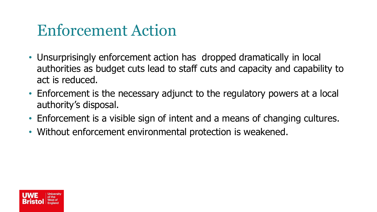#### Enforcement Action

- Unsurprisingly enforcement action has dropped dramatically in local authorities as budget cuts lead to staff cuts and capacity and capability to act is reduced.
- Enforcement is the necessary adjunct to the regulatory powers at a local authority's disposal.
- Enforcement is a visible sign of intent and a means of changing cultures.
- Without enforcement environmental protection is weakened.

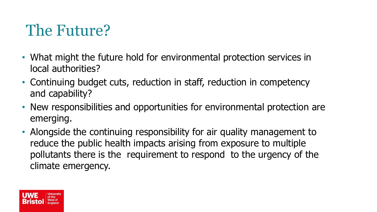## The Future?

- What might the future hold for environmental protection services in local authorities?
- Continuing budget cuts, reduction in staff, reduction in competency and capability?
- New responsibilities and opportunities for environmental protection are emerging.
- Alongside the continuing responsibility for air quality management to reduce the public health impacts arising from exposure to multiple pollutants there is the requirement to respond to the urgency of the climate emergency.

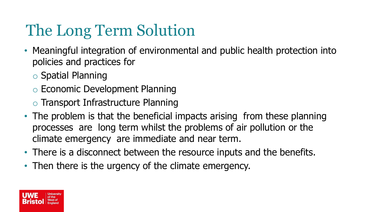# The Long Term Solution

- Meaningful integration of environmental and public health protection into policies and practices for
	- o Spatial Planning
	- o Economic Development Planning
	- o Transport Infrastructure Planning
- The problem is that the beneficial impacts arising from these planning processes are long term whilst the problems of air pollution or the climate emergency are immediate and near term.
- There is a disconnect between the resource inputs and the benefits.
- Then there is the urgency of the climate emergency.

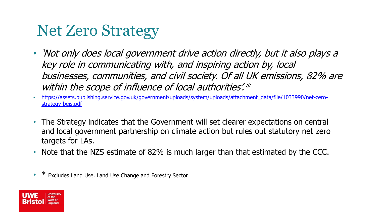#### Net Zero Strategy

- 'Not only does local government drive action directly, but it also plays a key role in communicating with, and inspiring action by, local businesses, communities, and civil society. Of all UK emissions, 82% are within the scope of influence of local authorities'.\*
- [https://assets.publishing.service.gov.uk/government/uploads/system/uploads/attachment\\_data/file/1033990/net-zero](https://assets.publishing.service.gov.uk/government/uploads/system/uploads/attachment_data/file/1033990/net-zero-strategy-beis.pdf)strategy-beis.pdf
- The Strategy indicates that the Government will set clearer expectations on central and local government partnership on climate action but rules out statutory net zero targets for LAs.
- Note that the NZS estimate of 82% is much larger than that estimated by the CCC.
- Excludes Land Use, Land Use Change and Forestry Sector

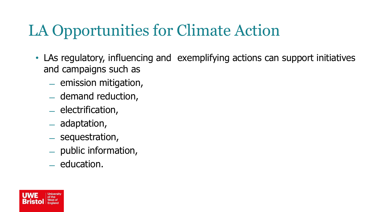## LA Opportunities for Climate Action

- LAs regulatory, influencing and exemplifying actions can support initiatives and campaigns such as
	- ̶ emission mitigation,
	- ̶ demand reduction,
	- ̶ electrification,
	- ̶ adaptation,
	- ̶ sequestration,
	- ̶ public information,
	- ̶ education.

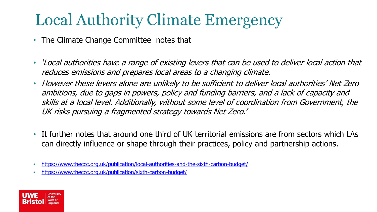## Local Authority Climate Emergency

- The Climate Change Committee notes that
- 'Local authorities have a range of existing levers that can be used to deliver local action that reduces emissions and prepares local areas to a changing climate.
- However these levers alone are unlikely to be sufficient to deliver local authorities' Net Zero ambitions, due to gaps in powers, policy and funding barriers, and a lack of capacity and skills at a local level. Additionally, without some level of coordination from Government, the UK risks pursuing a fragmented strategy towards Net Zero.'
- It further notes that around one third of UK territorial emissions are from sectors which LAs can directly influence or shape through their practices, policy and partnership actions.
- <https://www.theccc.org.uk/publication/local-authorities-and-the-sixth-carbon-budget/>
- <https://www.theccc.org.uk/publication/sixth-carbon-budget/>

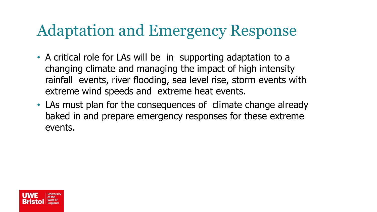#### Adaptation and Emergency Response

- A critical role for LAs will be in supporting adaptation to a changing climate and managing the impact of high intensity rainfall events, river flooding, sea level rise, storm events with extreme wind speeds and extreme heat events.
- LAs must plan for the consequences of climate change already baked in and prepare emergency responses for these extreme events.

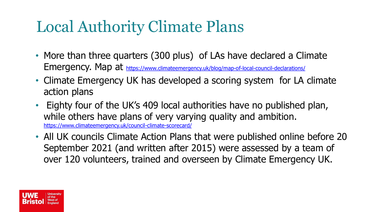## Local Authority Climate Plans

- More than three quarters (300 plus) of LAs have declared a Climate Emergency. Map at <https://www.climateemergency.uk/blog/map-of-local-council-declarations/>
- Climate Emergency UK has developed a scoring system for LA climate action plans
- Eighty four of the UK's 409 local authorities have no published plan, while others have plans of very varying quality and ambition. <https://www.climateemergency.uk/council-climate-scorecard/>
- All UK councils Climate Action Plans that were published online before 20 September 2021 (and written after 2015) were assessed by a team of over 120 volunteers, trained and overseen by Climate Emergency UK.

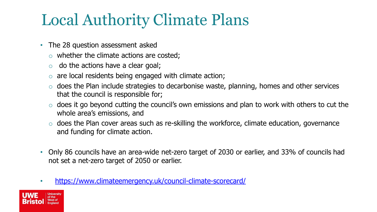## Local Authority Climate Plans

- The 28 question assessment asked
	- o whether the climate actions are costed;
	- $\circ$  do the actions have a clear goal;
	- o are local residents being engaged with climate action;
	- $\circ$  does the Plan include strategies to decarbonise waste, planning, homes and other services that the council is responsible for;
	- $\circ$  does it go beyond cutting the council's own emissions and plan to work with others to cut the whole area's emissions, and
	- $\circ$  does the Plan cover areas such as re-skilling the workforce, climate education, governance and funding for climate action.
- Only 86 councils have an area-wide net-zero target of 2030 or earlier, and 33% of councils had not set a net-zero target of 2050 or earlier.
- <https://www.climateemergency.uk/council-climate-scorecard/>

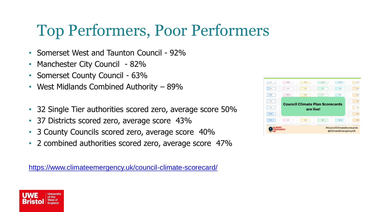## Top Performers, Poor Performers

- Somerset West and Taunton Council 92%
- Manchester City Council 82%
- Somerset County Council 63%
- West Midlands Combined Authority 89%
- 32 Single Tier authorities scored zero, average score 50%
- 37 Districts scored zero, average score 43%
- 3 County Councils scored zero, average score 40%
- 2 combined authorities scored zero, average score 47%

<https://www.climateemergency.uk/council-climate-scorecard/>

| 2/12<br><b>Council Climate Plan Scorecards</b><br>2/12<br>are live!<br>10/12 | 4/12<br>9/12<br>11/12<br>10/12<br>11/12 | 4/12<br>5/12 | 9/12<br>3/12 | 11/12<br>7/12 | 10/12<br>7/12 | 10/12<br>7/12 |  |
|------------------------------------------------------------------------------|-----------------------------------------|--------------|--------------|---------------|---------------|---------------|--|
|                                                                              |                                         | 8/12         | 10/12        | 8/12          | 5/12          | 6/12          |  |

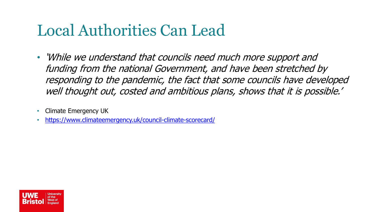#### Local Authorities Can Lead

- 'While we understand that councils need much more support and funding from the national Government, and have been stretched by responding to the pandemic, the fact that some councils have developed well thought out, costed and ambitious plans, shows that it is possible.'
- Climate Emergency UK
- <https://www.climateemergency.uk/council-climate-scorecard/>

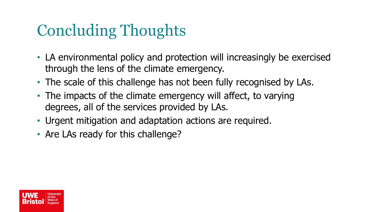## Concluding Thoughts

- LA environmental policy and protection will increasingly be exercised through the lens of the climate emergency.
- The scale of this challenge has not been fully recognised by LAs.
- The impacts of the climate emergency will affect, to varying degrees, all of the services provided by LAs.
- Urgent mitigation and adaptation actions are required.
- Are LAs ready for this challenge?

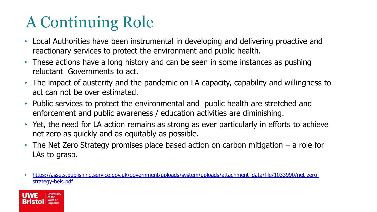# A Continuing Role

- Local Authorities have been instrumental in developing and delivering proactive and reactionary services to protect the environment and public health.
- These actions have a long history and can be seen in some instances as pushing reluctant Governments to act.
- The impact of austerity and the pandemic on LA capacity, capability and willingness to act can not be over estimated.
- Public services to protect the environmental and public health are stretched and enforcement and public awareness / education activities are diminishing.
- Yet, the need for LA action remains as strong as ever particularly in efforts to achieve net zero as quickly and as equitably as possible.
- The Net Zero Strategy promises place based action on carbon mitigation a role for LAs to grasp.
- [https://assets.publishing.service.gov.uk/government/uploads/system/uploads/attachment\\_data/file/1033990/net-zero](https://assets.publishing.service.gov.uk/government/uploads/system/uploads/attachment_data/file/1033990/net-zero-strategy-beis.pdf)strategy-beis.pdf